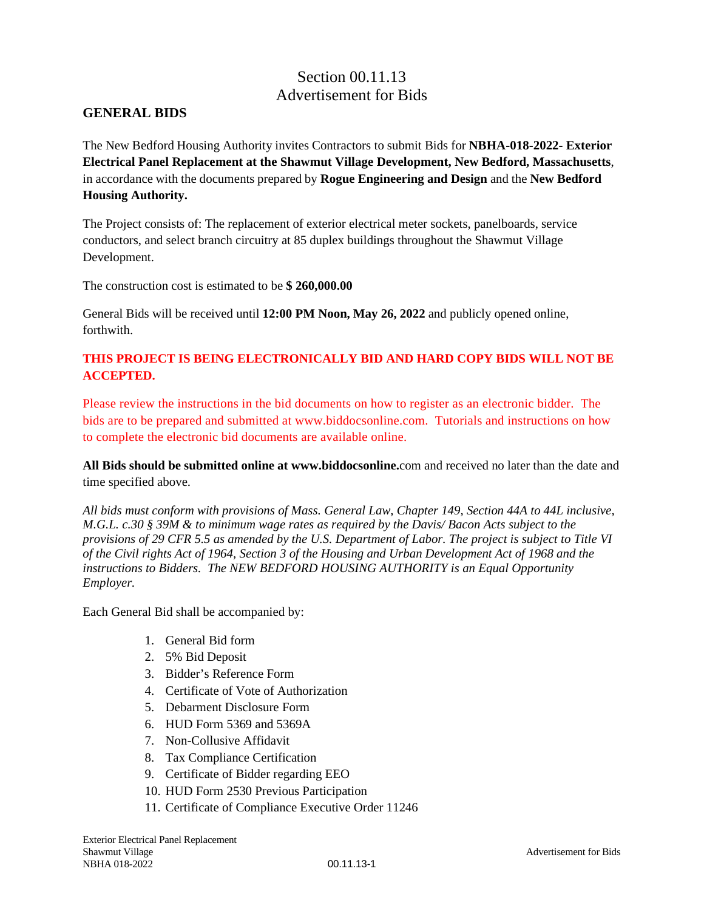# Section 00.11.13 Advertisement for Bids

#### **GENERAL BIDS**

The New Bedford Housing Authority invites Contractors to submit Bids for **NBHA-018-2022- Exterior Electrical Panel Replacement at the Shawmut Village Development, New Bedford, Massachusetts**, in accordance with the documents prepared by **Rogue Engineering and Design** and the **New Bedford Housing Authority.** 

The Project consists of: The replacement of exterior electrical meter sockets, panelboards, service conductors, and select branch circuitry at 85 duplex buildings throughout the Shawmut Village Development.

The construction cost is estimated to be **\$ 260,000.00**

General Bids will be received until **12:00 PM Noon, May 26, 2022** and publicly opened online, forthwith.

#### **THIS PROJECT IS BEING ELECTRONICALLY BID AND HARD COPY BIDS WILL NOT BE ACCEPTED.**

Please review the instructions in the bid documents on how to register as an electronic bidder. The bids are to be prepared and submitted at www.biddocsonline.com. Tutorials and instructions on how to complete the electronic bid documents are available online.

**All Bids should be submitted online at www.biddocsonline.**com and received no later than the date and time specified above.

*All bids must conform with provisions of Mass. General Law, Chapter 149, Section 44A to 44L inclusive, M.G.L. c.30 § 39M & to minimum wage rates as required by the Davis/ Bacon Acts subject to the provisions of 29 CFR 5.5 as amended by the U.S. Department of Labor. The project is subject to Title VI of the Civil rights Act of 1964, Section 3 of the Housing and Urban Development Act of 1968 and the instructions to Bidders. The NEW BEDFORD HOUSING AUTHORITY is an Equal Opportunity Employer.*

Each General Bid shall be accompanied by:

- 1. General Bid form
- 2. 5% Bid Deposit
- 3. Bidder's Reference Form
- 4. Certificate of Vote of Authorization
- 5. Debarment Disclosure Form
- 6. HUD Form 5369 and 5369A
- 7. Non-Collusive Affidavit
- 8. Tax Compliance Certification
- 9. Certificate of Bidder regarding EEO
- 10. HUD Form 2530 Previous Participation
- 11. Certificate of Compliance Executive Order 11246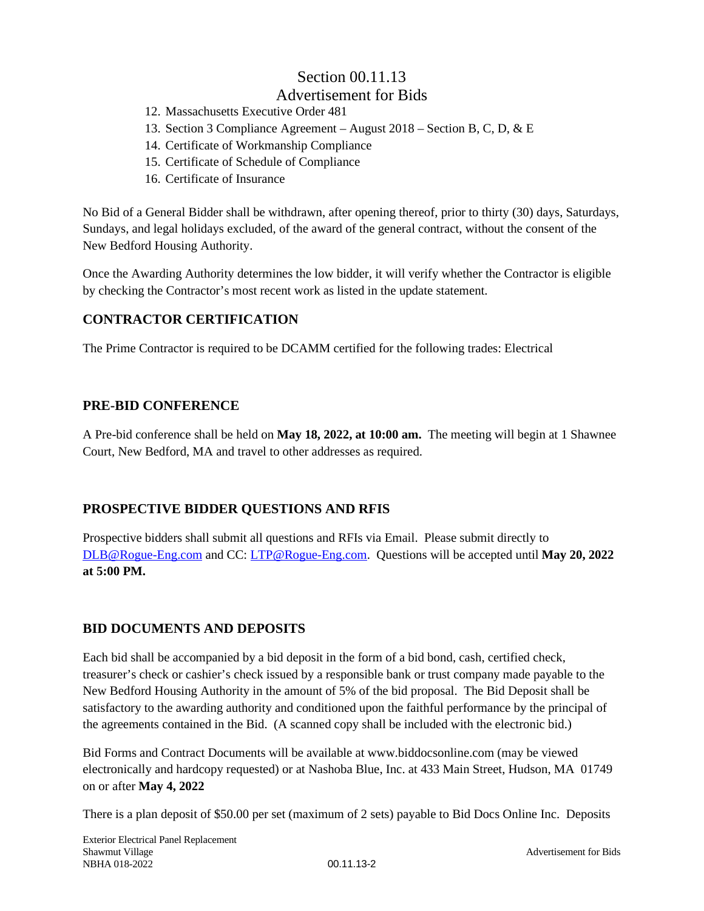# Section 00.11.13

# Advertisement for Bids

- 12. Massachusetts Executive Order 481
- 13. Section 3 Compliance Agreement August 2018 Section B, C, D, & E
- 14. Certificate of Workmanship Compliance
- 15. Certificate of Schedule of Compliance
- 16. Certificate of Insurance

No Bid of a General Bidder shall be withdrawn, after opening thereof, prior to thirty (30) days, Saturdays, Sundays, and legal holidays excluded, of the award of the general contract, without the consent of the New Bedford Housing Authority.

Once the Awarding Authority determines the low bidder, it will verify whether the Contractor is eligible by checking the Contractor's most recent work as listed in the update statement.

### **CONTRACTOR CERTIFICATION**

The Prime Contractor is required to be DCAMM certified for the following trades: Electrical

#### **PRE-BID CONFERENCE**

A Pre-bid conference shall be held on **May 18, 2022, at 10:00 am.** The meeting will begin at 1 Shawnee Court, New Bedford, MA and travel to other addresses as required.

#### **PROSPECTIVE BIDDER QUESTIONS AND RFIS**

Prospective bidders shall submit all questions and RFIs via Email. Please submit directly to [DLB@Rogue-Eng.com](mailto:DLB@Rogue-Eng.com) and CC: [LTP@Rogue-Eng.com.](mailto:LTP@Rogue-Eng.com) Questions will be accepted until **May 20, 2022 at 5:00 PM.** 

#### **BID DOCUMENTS AND DEPOSITS**

Each bid shall be accompanied by a bid deposit in the form of a bid bond, cash, certified check, treasurer's check or cashier's check issued by a responsible bank or trust company made payable to the New Bedford Housing Authority in the amount of 5% of the bid proposal. The Bid Deposit shall be satisfactory to the awarding authority and conditioned upon the faithful performance by the principal of the agreements contained in the Bid. (A scanned copy shall be included with the electronic bid.)

Bid Forms and Contract Documents will be available at www.biddocsonline.com (may be viewed electronically and hardcopy requested) or at Nashoba Blue, Inc. at 433 Main Street, Hudson, MA 01749 on or after **May 4, 2022** 

There is a plan deposit of \$50.00 per set (maximum of 2 sets) payable to Bid Docs Online Inc. Deposits